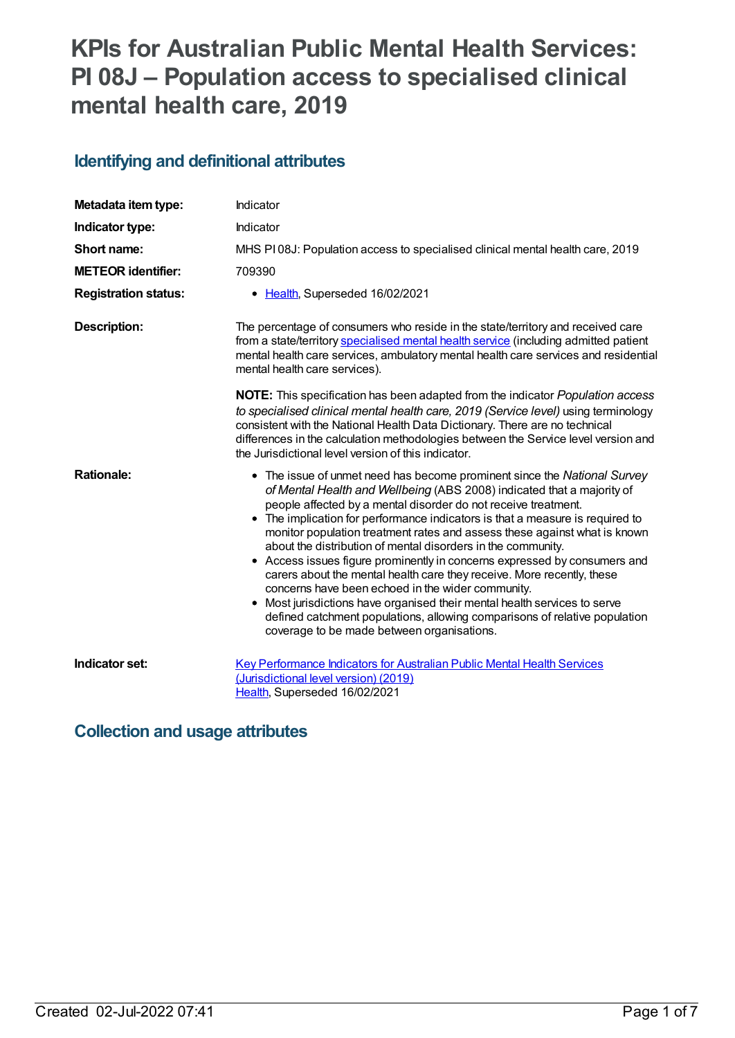# **KPIs for Australian Public Mental Health Services: PI 08J – Population access to specialised clinical mental health care, 2019**

## **Identifying and definitional attributes**

| Metadata item type:         | Indicator                                                                                                                                                                                                                                                                                                                                                                                                                                                                                                                                                                                                                                                                                                                                                                                                                                                                          |
|-----------------------------|------------------------------------------------------------------------------------------------------------------------------------------------------------------------------------------------------------------------------------------------------------------------------------------------------------------------------------------------------------------------------------------------------------------------------------------------------------------------------------------------------------------------------------------------------------------------------------------------------------------------------------------------------------------------------------------------------------------------------------------------------------------------------------------------------------------------------------------------------------------------------------|
| Indicator type:             | Indicator                                                                                                                                                                                                                                                                                                                                                                                                                                                                                                                                                                                                                                                                                                                                                                                                                                                                          |
| Short name:                 | MHS PI08J: Population access to specialised clinical mental health care, 2019                                                                                                                                                                                                                                                                                                                                                                                                                                                                                                                                                                                                                                                                                                                                                                                                      |
| <b>METEOR identifier:</b>   | 709390                                                                                                                                                                                                                                                                                                                                                                                                                                                                                                                                                                                                                                                                                                                                                                                                                                                                             |
| <b>Registration status:</b> | • Health, Superseded 16/02/2021                                                                                                                                                                                                                                                                                                                                                                                                                                                                                                                                                                                                                                                                                                                                                                                                                                                    |
| <b>Description:</b>         | The percentage of consumers who reside in the state/territory and received care<br>from a state/territory specialised mental health service (including admitted patient<br>mental health care services, ambulatory mental health care services and residential<br>mental health care services).                                                                                                                                                                                                                                                                                                                                                                                                                                                                                                                                                                                    |
|                             | NOTE: This specification has been adapted from the indicator Population access<br>to specialised clinical mental health care, 2019 (Service level) using terminology<br>consistent with the National Health Data Dictionary. There are no technical<br>differences in the calculation methodologies between the Service level version and<br>the Jurisdictional level version of this indicator.                                                                                                                                                                                                                                                                                                                                                                                                                                                                                   |
| <b>Rationale:</b>           | • The issue of unmet need has become prominent since the National Survey<br>of Mental Health and Wellbeing (ABS 2008) indicated that a majority of<br>people affected by a mental disorder do not receive treatment.<br>• The implication for performance indicators is that a measure is required to<br>monitor population treatment rates and assess these against what is known<br>about the distribution of mental disorders in the community.<br>• Access issues figure prominently in concerns expressed by consumers and<br>carers about the mental health care they receive. More recently, these<br>concerns have been echoed in the wider community.<br>Most jurisdictions have organised their mental health services to serve<br>$\bullet$<br>defined catchment populations, allowing comparisons of relative population<br>coverage to be made between organisations. |
| Indicator set:              | <b>Key Performance Indicators for Australian Public Mental Health Services</b><br>(Jurisdictional level version) (2019)<br>Health, Superseded 16/02/2021                                                                                                                                                                                                                                                                                                                                                                                                                                                                                                                                                                                                                                                                                                                           |

## **Collection and usage attributes**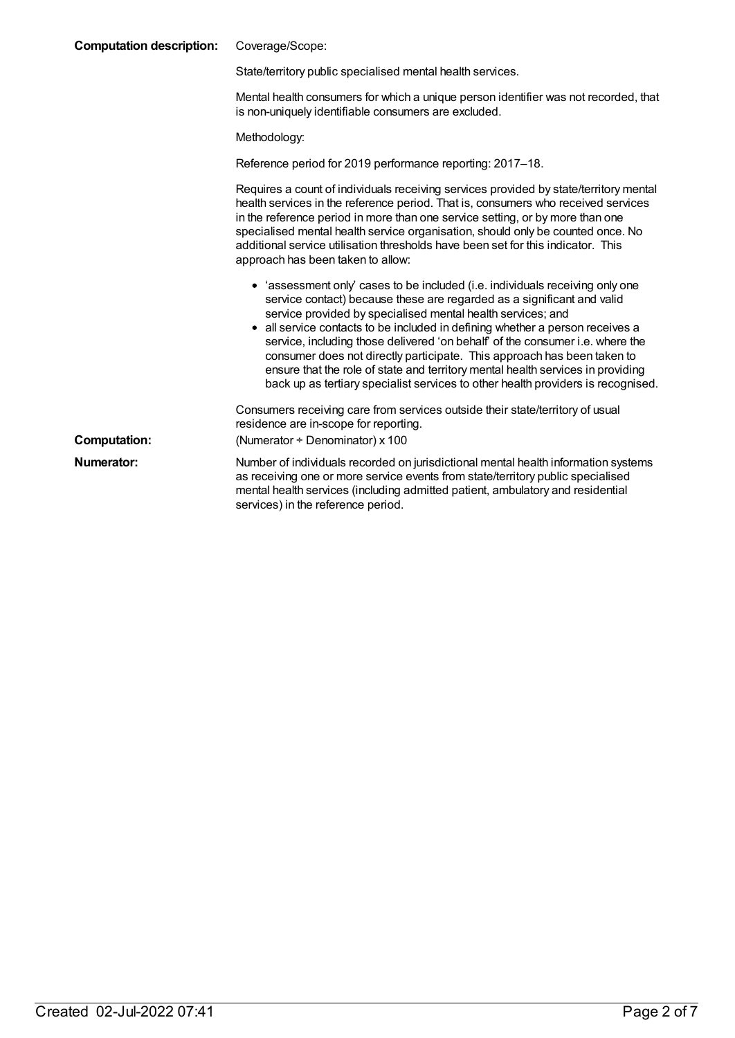| <b>Computation description:</b> | Coverage/Scope:                                                                                                                                                                                                                                                                                                                                                                                                                                                                                                                                                                                                                            |
|---------------------------------|--------------------------------------------------------------------------------------------------------------------------------------------------------------------------------------------------------------------------------------------------------------------------------------------------------------------------------------------------------------------------------------------------------------------------------------------------------------------------------------------------------------------------------------------------------------------------------------------------------------------------------------------|
|                                 | State/territory public specialised mental health services.                                                                                                                                                                                                                                                                                                                                                                                                                                                                                                                                                                                 |
|                                 | Mental health consumers for which a unique person identifier was not recorded, that<br>is non-uniquely identifiable consumers are excluded.                                                                                                                                                                                                                                                                                                                                                                                                                                                                                                |
|                                 | Methodology:                                                                                                                                                                                                                                                                                                                                                                                                                                                                                                                                                                                                                               |
|                                 | Reference period for 2019 performance reporting: 2017–18.                                                                                                                                                                                                                                                                                                                                                                                                                                                                                                                                                                                  |
|                                 | Requires a count of individuals receiving services provided by state/territory mental<br>health services in the reference period. That is, consumers who received services<br>in the reference period in more than one service setting, or by more than one<br>specialised mental health service organisation, should only be counted once. No<br>additional service utilisation thresholds have been set for this indicator. This<br>approach has been taken to allow:                                                                                                                                                                    |
|                                 | • 'assessment only' cases to be included (i.e. individuals receiving only one<br>service contact) because these are regarded as a significant and valid<br>service provided by specialised mental health services; and<br>• all service contacts to be included in defining whether a person receives a<br>service, including those delivered 'on behalf' of the consumer i.e. where the<br>consumer does not directly participate. This approach has been taken to<br>ensure that the role of state and territory mental health services in providing<br>back up as tertiary specialist services to other health providers is recognised. |
| <b>Computation:</b>             | Consumers receiving care from services outside their state/territory of usual<br>residence are in-scope for reporting.<br>(Numerator $\div$ Denominator) x 100                                                                                                                                                                                                                                                                                                                                                                                                                                                                             |
| Numerator:                      | Number of individuals recorded on jurisdictional mental health information systems<br>as receiving one or more service events from state/territory public specialised<br>mental health services (including admitted patient, ambulatory and residential<br>services) in the reference period.                                                                                                                                                                                                                                                                                                                                              |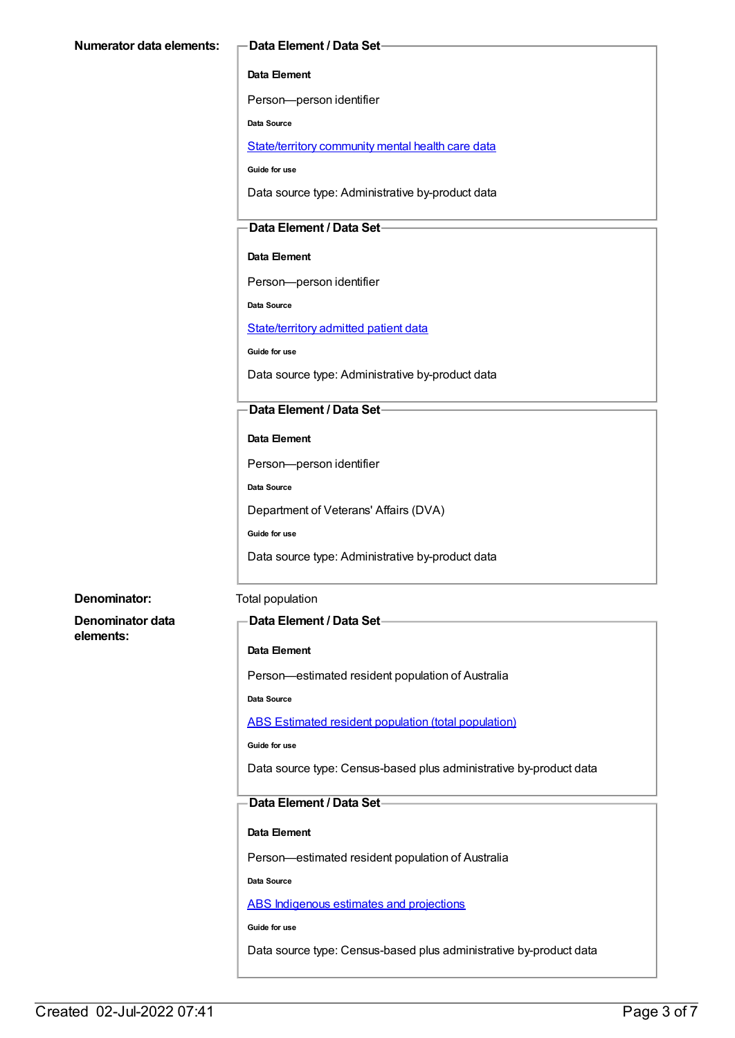#### **Data Element**

Person—person identifier

**Data Source**

[State/territory](file:///content/402135) community mental health care data

**Guide for use**

Data source type: Administrative by-product data

### **Data Element / Data Set**

**Data Element**

Person—person identifier

**Data Source**

[State/territory](file:///content/426458) admitted patient data

**Guide for use**

Data source type: Administrative by-product data

#### **Data Element / Data Set**

#### **Data Element**

Person—person identifier

**Data Source**

Department of Veterans' Affairs (DVA)

**Guide for use**

Data source type: Administrative by-product data

#### **Denominator:** Total population

**Denominator data elements:**

#### **Data Element / Data Set**

#### **Data Element**

Person—estimated resident population of Australia

**Data Source**

ABS Estimated resident population (total [population\)](file:///content/393625)

**Guide for use**

Data source type: Census-based plus administrative by-product data

#### **Data Element / Data Set**

#### **Data Element**

Person—estimated resident population of Australia

**Data Source**

ABS [Indigenous](file:///content/585472) estimates and projections

**Guide for use**

Data source type: Census-based plus administrative by-product data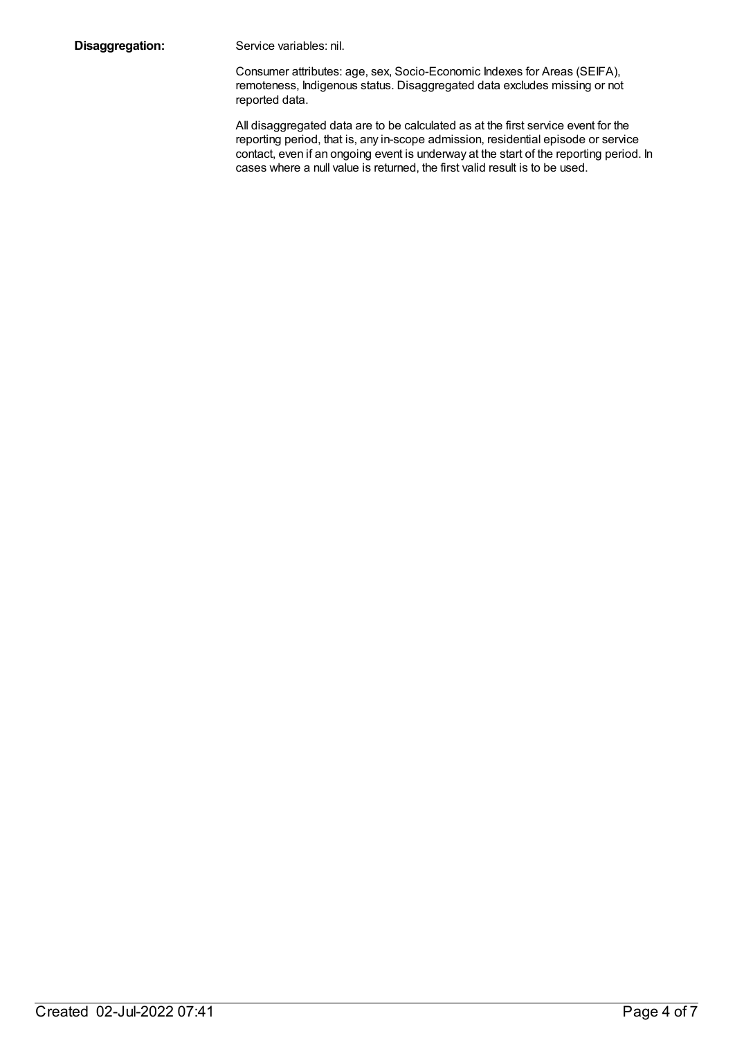**Disaggregation:** Service variables: nil.

Consumer attributes: age, sex, Socio-Economic Indexes for Areas (SEIFA), remoteness, Indigenous status. Disaggregated data excludes missing or not reported data.

All disaggregated data are to be calculated as at the first service event for the reporting period, that is, any in-scope admission, residential episode or service contact, even if an ongoing event is underway at the start of the reporting period. In cases where a null value is returned, the first valid result is to be used.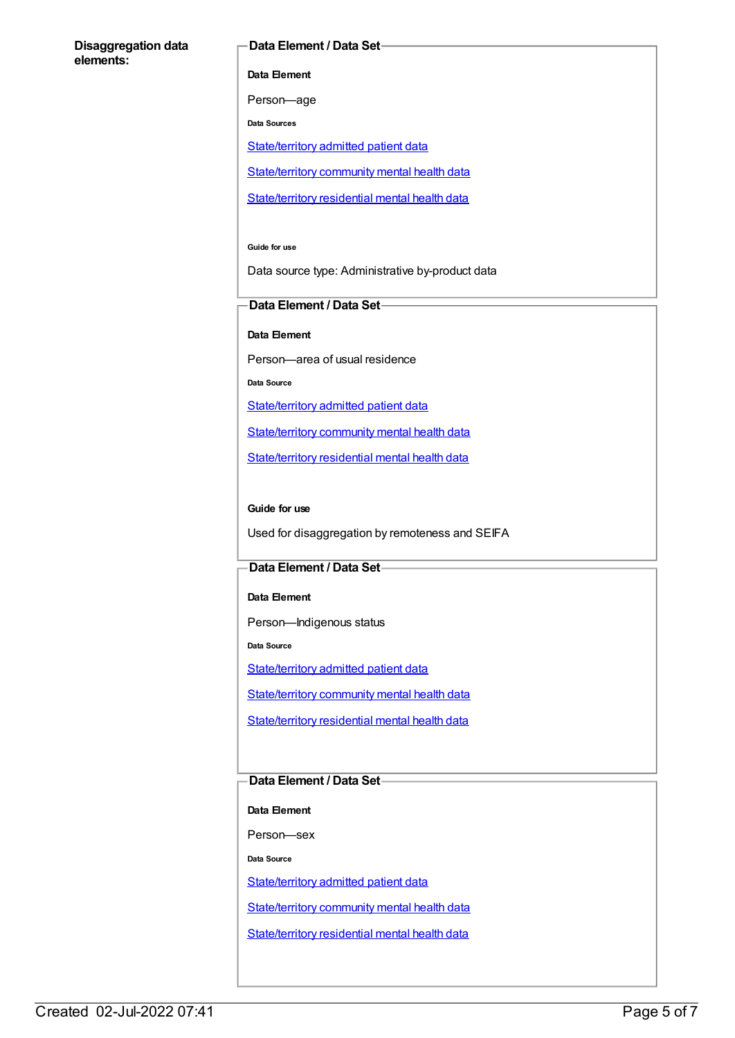#### **Disaggregation data elements:**

#### **Data Element / Data Set**

**Data Element**

Person—age

**Data Sources**

[State/territory](file:///content/426458) admitted patient data

[State/territory](file:///content/402135) community mental health data

[State/territory](file:///content/630460) residential mental health data

**Guide for use**

Data source type: Administrative by-product data

#### **Data Element / Data Set**

**Data Element**

Person—area of usual residence

**Data Source**

[State/territory](file:///content/426458) admitted patient data

[State/territory](file:///content/402135) community mental health data

[State/territory](file:///content/630460) residential mental health data

#### **Guide for use**

Used for disaggregation by remoteness and SEIFA

#### **Data Element / Data Set**

**Data Element**

Person—Indigenous status

**Data Source**

[State/territory](file:///content/426458) admitted patient data

[State/territory](file:///content/402135) community mental health data

[State/territory](file:///content/630460) residential mental health data

### **Data Element / Data Set**

**Data Element**

Person—sex

**Data Source**

[State/territory](file:///content/426458) admitted patient data

[State/territory](file:///content/402135) community mental health data

[State/territory](file:///content/630460) residential mental health data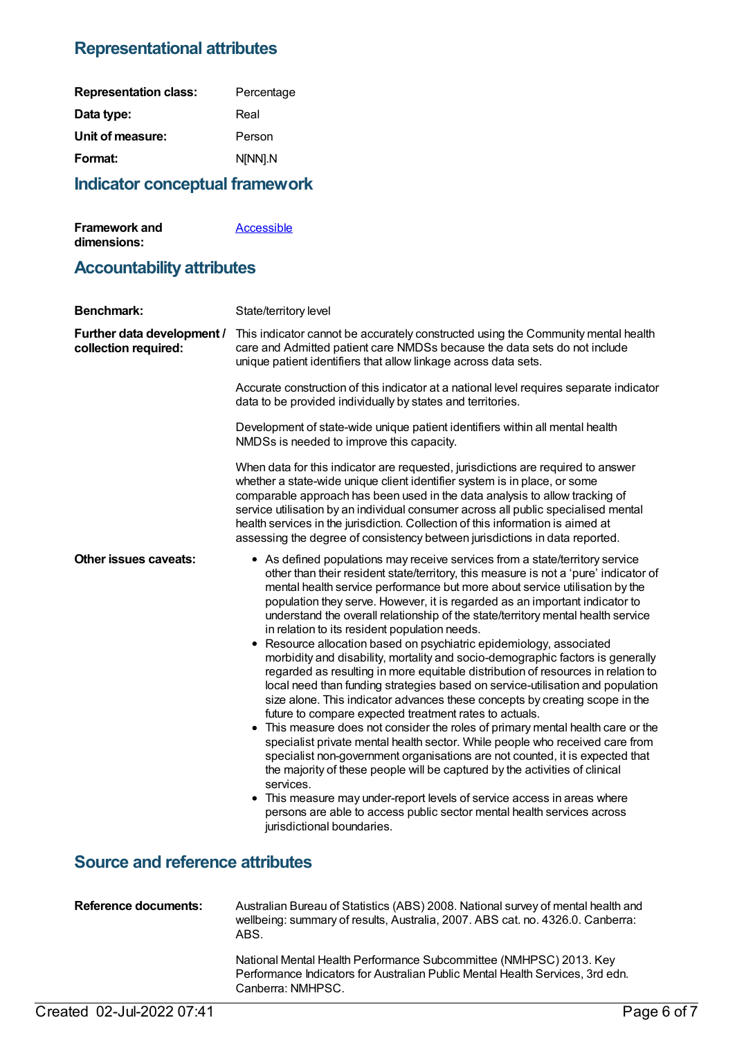## **Representational attributes**

| <b>Representation class:</b> | Percentage |
|------------------------------|------------|
| Data type:                   | Real       |
| Unit of measure:             | Person     |
| Format:                      | N[NN].N    |
|                              |            |

## **Indicator conceptual framework**

| <b>Framework and</b> | Accessible |
|----------------------|------------|
| dimensions:          |            |

## **Accountability attributes**

| <b>Benchmark:</b>                                  | State/territory level                                                                                                                                                                                                                                                                                                                                                                                                                                                                                                                                                                                                                                                                                                                                                                                                                                                                                                                                                                                                                                                                                                                                                                                                                                                                                                                                                                                                                                                             |
|----------------------------------------------------|-----------------------------------------------------------------------------------------------------------------------------------------------------------------------------------------------------------------------------------------------------------------------------------------------------------------------------------------------------------------------------------------------------------------------------------------------------------------------------------------------------------------------------------------------------------------------------------------------------------------------------------------------------------------------------------------------------------------------------------------------------------------------------------------------------------------------------------------------------------------------------------------------------------------------------------------------------------------------------------------------------------------------------------------------------------------------------------------------------------------------------------------------------------------------------------------------------------------------------------------------------------------------------------------------------------------------------------------------------------------------------------------------------------------------------------------------------------------------------------|
| Further data development /<br>collection required: | This indicator cannot be accurately constructed using the Community mental health<br>care and Admitted patient care NMDSs because the data sets do not include<br>unique patient identifiers that allow linkage across data sets.                                                                                                                                                                                                                                                                                                                                                                                                                                                                                                                                                                                                                                                                                                                                                                                                                                                                                                                                                                                                                                                                                                                                                                                                                                                 |
|                                                    | Accurate construction of this indicator at a national level requires separate indicator<br>data to be provided individually by states and territories.                                                                                                                                                                                                                                                                                                                                                                                                                                                                                                                                                                                                                                                                                                                                                                                                                                                                                                                                                                                                                                                                                                                                                                                                                                                                                                                            |
|                                                    | Development of state-wide unique patient identifiers within all mental health<br>NMDSs is needed to improve this capacity.                                                                                                                                                                                                                                                                                                                                                                                                                                                                                                                                                                                                                                                                                                                                                                                                                                                                                                                                                                                                                                                                                                                                                                                                                                                                                                                                                        |
|                                                    | When data for this indicator are requested, jurisdictions are required to answer<br>whether a state-wide unique client identifier system is in place, or some<br>comparable approach has been used in the data analysis to allow tracking of<br>service utilisation by an individual consumer across all public specialised mental<br>health services in the jurisdiction. Collection of this information is aimed at<br>assessing the degree of consistency between jurisdictions in data reported.                                                                                                                                                                                                                                                                                                                                                                                                                                                                                                                                                                                                                                                                                                                                                                                                                                                                                                                                                                              |
| <b>Other issues caveats:</b>                       | • As defined populations may receive services from a state/territory service<br>other than their resident state/territory, this measure is not a 'pure' indicator of<br>mental health service performance but more about service utilisation by the<br>population they serve. However, it is regarded as an important indicator to<br>understand the overall relationship of the state/territory mental health service<br>in relation to its resident population needs.<br>• Resource allocation based on psychiatric epidemiology, associated<br>morbidity and disability, mortality and socio-demographic factors is generally<br>regarded as resulting in more equitable distribution of resources in relation to<br>local need than funding strategies based on service-utilisation and population<br>size alone. This indicator advances these concepts by creating scope in the<br>future to compare expected treatment rates to actuals.<br>• This measure does not consider the roles of primary mental health care or the<br>specialist private mental health sector. While people who received care from<br>specialist non-government organisations are not counted, it is expected that<br>the majority of these people will be captured by the activities of clinical<br>services.<br>• This measure may under-report levels of service access in areas where<br>persons are able to access public sector mental health services across<br>jurisdictional boundaries. |
| <b>Source and reference attributes</b>             |                                                                                                                                                                                                                                                                                                                                                                                                                                                                                                                                                                                                                                                                                                                                                                                                                                                                                                                                                                                                                                                                                                                                                                                                                                                                                                                                                                                                                                                                                   |
| <b>Reference documents:</b>                        | Australian Bureau of Statistics (ABS) 2008. National survey of mental health and<br>wellbeing: summary of results, Australia, 2007. ABS cat. no. 4326.0. Canberra:<br>ABS.                                                                                                                                                                                                                                                                                                                                                                                                                                                                                                                                                                                                                                                                                                                                                                                                                                                                                                                                                                                                                                                                                                                                                                                                                                                                                                        |
|                                                    | National Mental Health Performance Subcommittee (NMHPSC) 2013. Key                                                                                                                                                                                                                                                                                                                                                                                                                                                                                                                                                                                                                                                                                                                                                                                                                                                                                                                                                                                                                                                                                                                                                                                                                                                                                                                                                                                                                |

Performance Indicators for Australian Public Mental Health Services, 3rd edn.

Canberra: NMHPSC.